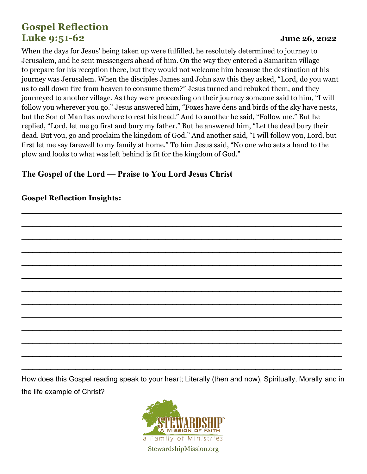# **Gospel Reflection Luke 9:51-62 June 26, 2022**

When the days for Jesus' being taken up were fulfilled, he resolutely determined to journey to Jerusalem, and he sent messengers ahead of him. On the way they entered a Samaritan village to prepare for his reception there, but they would not welcome him because the destination of his journey was Jerusalem. When the disciples James and John saw this they asked, "Lord, do you want us to call down fire from heaven to consume them?" Jesus turned and rebuked them, and they journeyed to another village. As they were proceeding on their journey someone said to him, "I will follow you wherever you go." Jesus answered him, "Foxes have dens and birds of the sky have nests, but the Son of Man has nowhere to rest his head." And to another he said, "Follow me." But he replied, "Lord, let me go first and bury my father." But he answered him, "Let the dead bury their dead. But you, go and proclaim the kingdom of God." And another said, "I will follow you, Lord, but first let me say farewell to my family at home." To him Jesus said, "No one who sets a hand to the plow and looks to what was left behind is fit for the kingdom of God."

\_\_\_\_\_\_\_\_\_\_\_\_\_\_\_\_\_\_\_\_\_\_\_\_\_\_\_\_\_\_\_\_\_\_\_\_\_\_\_\_\_\_\_\_\_\_\_\_\_\_\_\_\_\_\_\_\_\_\_\_\_\_\_\_\_\_\_\_\_\_\_\_\_\_\_\_\_\_\_\_\_\_\_\_\_\_\_\_\_

\_\_\_\_\_\_\_\_\_\_\_\_\_\_\_\_\_\_\_\_\_\_\_\_\_\_\_\_\_\_\_\_\_\_\_\_\_\_\_\_\_\_\_\_\_\_\_\_\_\_\_\_\_\_\_\_\_\_\_\_\_\_\_\_\_\_\_\_\_\_\_\_\_\_\_\_\_\_\_\_\_\_\_\_\_\_\_\_\_

\_\_\_\_\_\_\_\_\_\_\_\_\_\_\_\_\_\_\_\_\_\_\_\_\_\_\_\_\_\_\_\_\_\_\_\_\_\_\_\_\_\_\_\_\_\_\_\_\_\_\_\_\_\_\_\_\_\_\_\_\_\_\_\_\_\_\_\_\_\_\_\_\_\_\_\_\_\_\_\_\_\_\_\_\_\_\_\_\_

\_\_\_\_\_\_\_\_\_\_\_\_\_\_\_\_\_\_\_\_\_\_\_\_\_\_\_\_\_\_\_\_\_\_\_\_\_\_\_\_\_\_\_\_\_\_\_\_\_\_\_\_\_\_\_\_\_\_\_\_\_\_\_\_\_\_\_\_\_\_\_\_\_\_\_\_\_\_\_\_\_\_\_\_\_\_\_\_\_

\_\_\_\_\_\_\_\_\_\_\_\_\_\_\_\_\_\_\_\_\_\_\_\_\_\_\_\_\_\_\_\_\_\_\_\_\_\_\_\_\_\_\_\_\_\_\_\_\_\_\_\_\_\_\_\_\_\_\_\_\_\_\_\_\_\_\_\_\_\_\_\_\_\_\_\_\_\_\_\_\_\_\_\_\_\_\_\_\_

\_\_\_\_\_\_\_\_\_\_\_\_\_\_\_\_\_\_\_\_\_\_\_\_\_\_\_\_\_\_\_\_\_\_\_\_\_\_\_\_\_\_\_\_\_\_\_\_\_\_\_\_\_\_\_\_\_\_\_\_\_\_\_\_\_\_\_\_\_\_\_\_\_\_\_\_\_\_\_\_\_\_\_\_\_\_\_\_\_

\_\_\_\_\_\_\_\_\_\_\_\_\_\_\_\_\_\_\_\_\_\_\_\_\_\_\_\_\_\_\_\_\_\_\_\_\_\_\_\_\_\_\_\_\_\_\_\_\_\_\_\_\_\_\_\_\_\_\_\_\_\_\_\_\_\_\_\_\_\_\_\_\_\_\_\_\_\_\_\_\_\_\_\_\_\_\_\_\_

\_\_\_\_\_\_\_\_\_\_\_\_\_\_\_\_\_\_\_\_\_\_\_\_\_\_\_\_\_\_\_\_\_\_\_\_\_\_\_\_\_\_\_\_\_\_\_\_\_\_\_\_\_\_\_\_\_\_\_\_\_\_\_\_\_\_\_\_\_\_\_\_\_\_\_\_\_\_\_\_\_\_\_\_\_\_\_\_\_

\_\_\_\_\_\_\_\_\_\_\_\_\_\_\_\_\_\_\_\_\_\_\_\_\_\_\_\_\_\_\_\_\_\_\_\_\_\_\_\_\_\_\_\_\_\_\_\_\_\_\_\_\_\_\_\_\_\_\_\_\_\_\_\_\_\_\_\_\_\_\_\_\_\_\_\_\_\_\_\_\_\_\_\_\_\_\_\_\_

\_\_\_\_\_\_\_\_\_\_\_\_\_\_\_\_\_\_\_\_\_\_\_\_\_\_\_\_\_\_\_\_\_\_\_\_\_\_\_\_\_\_\_\_\_\_\_\_\_\_\_\_\_\_\_\_\_\_\_\_\_\_\_\_\_\_\_\_\_\_\_\_\_\_\_\_\_\_\_\_\_\_\_\_\_\_\_\_\_

\_\_\_\_\_\_\_\_\_\_\_\_\_\_\_\_\_\_\_\_\_\_\_\_\_\_\_\_\_\_\_\_\_\_\_\_\_\_\_\_\_\_\_\_\_\_\_\_\_\_\_\_\_\_\_\_\_\_\_\_\_\_\_\_\_\_\_\_\_\_\_\_\_\_\_\_\_\_\_\_\_\_\_\_\_\_\_\_\_

\_\_\_\_\_\_\_\_\_\_\_\_\_\_\_\_\_\_\_\_\_\_\_\_\_\_\_\_\_\_\_\_\_\_\_\_\_\_\_\_\_\_\_\_\_\_\_\_\_\_\_\_\_\_\_\_\_\_\_\_\_\_\_\_\_\_\_\_\_\_\_\_\_\_\_\_\_\_\_\_\_\_\_\_\_\_\_\_\_

\_\_\_\_\_\_\_\_\_\_\_\_\_\_\_\_\_\_\_\_\_\_\_\_\_\_\_\_\_\_\_\_\_\_\_\_\_\_\_\_\_\_\_\_\_\_\_\_\_\_\_\_\_\_\_\_\_\_\_\_\_\_\_\_\_\_\_\_\_\_\_\_\_\_\_\_\_\_\_\_\_\_\_\_\_\_\_\_\_

## **The Gospel of the Lord — Praise to You Lord Jesus Christ**

## **Gospel Reflection Insights:**

How does this Gospel reading speak to your heart; Literally (then and now), Spiritually, Morally and in the life example of Christ?